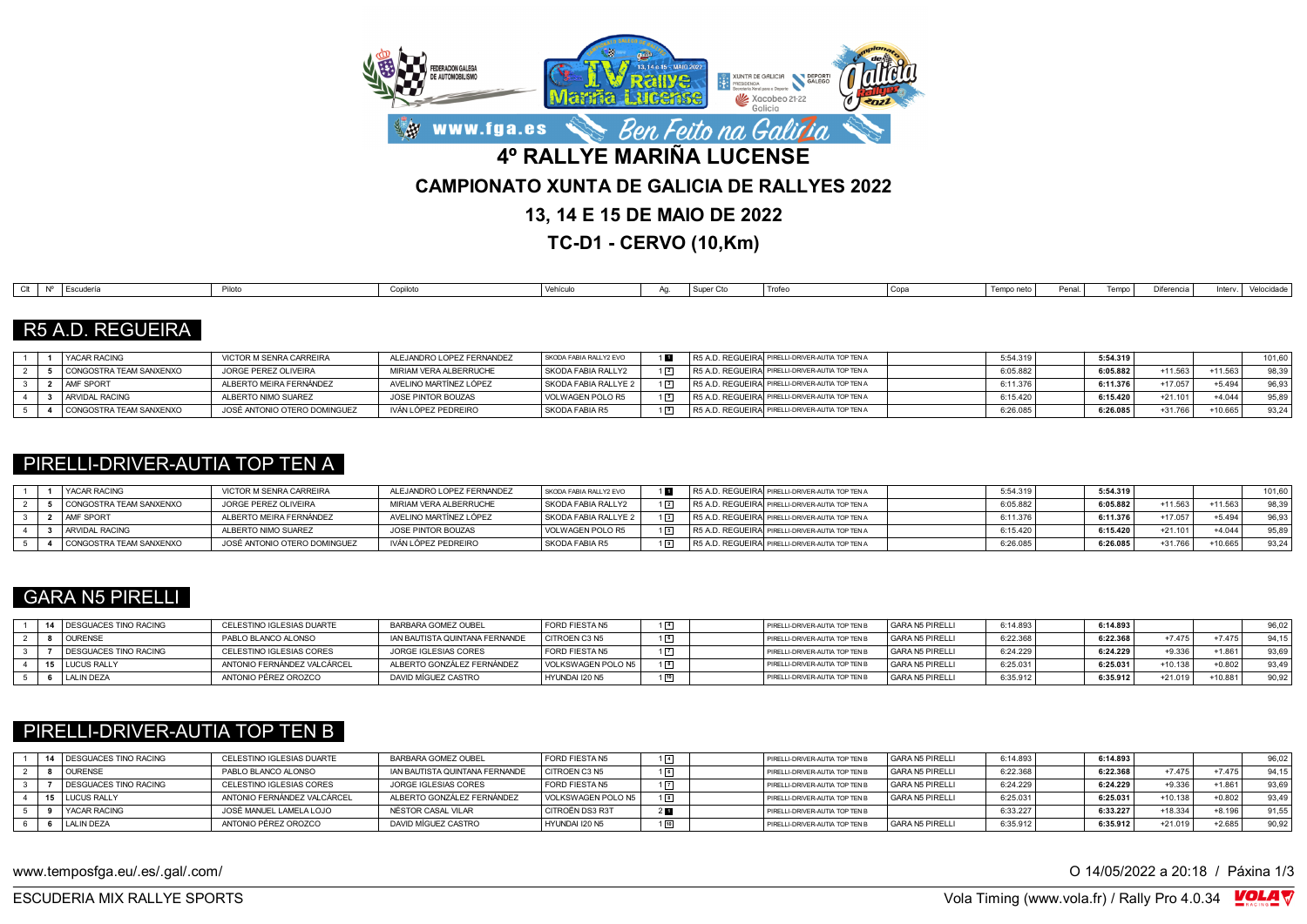

**TC-D1 - CERVO (10,Km)**

| Difere<br>Piloto<br>Copa<br>Vehículo<br>Escudería<br>Tempo<br>Trofer<br>Tempo neto<br>Penal<br>Inter<br>Conilot<br>I Super<br>$\sim$<br><b>L</b> ocuucii<br>$\sim$ $\sim$ $\sim$<br> |  |  |  |  |  |  |  |            |
|--------------------------------------------------------------------------------------------------------------------------------------------------------------------------------------|--|--|--|--|--|--|--|------------|
|                                                                                                                                                                                      |  |  |  |  |  |  |  | Velocidade |

#### R5 A.D. REGUEIRA

|  | <b>I YACAR RACING</b>   | VICTOR M SENRA CARREIRA      | ALEJANDRO LOPEZ FERNANDEZ | SKODA FABIA RALLY2 EVO |  | R5 A.D. REGUEIRAI PIRELLI-DRIVER-AUTIA TOP TEN A | 5:54.319 | 5:54.319 |           |           | 101.60             |
|--|-------------------------|------------------------------|---------------------------|------------------------|--|--------------------------------------------------|----------|----------|-----------|-----------|--------------------|
|  | CONGOSTRA TEAM SANXENXO | JORGE PEREZ OLIVEIRA         | MIRIAM VERA ALBERRUCHE    | SKODA FABIA RALLY2     |  | R5 A.D. REGUEIRA PIRELLI-DRIVER-AUTIA TOP TEN A  | 6:05.882 | 6:05.882 | +11.563   | $+11.563$ | 98.39              |
|  | <b>AMF SPORT</b>        | ALBERTO MEIRA FERNÁNDEZ      | AVELINO MARTÍNEZ LÓPEZ    | SKODA FABIA RALLYE 2   |  | R5 A.D. REGUEIRAI PIRELLI-DRIVER-AUTIA TOP TEN A | 6:11.376 | 6:11.376 | +17.057   | $+5.494$  | 96.93 <sub>1</sub> |
|  | ARVIDAL RACING          | ALBERTO NIMO SUAREZ          | JOSE PINTOR BOUZAS        | VOLWAGEN POLO R5       |  | R5 A.D. REGUEIRAI PIRELLI-DRIVER-AUTIA TOP TEN A | 6:15.420 | 6:15.420 | $+21.101$ | $+4.044$  | 95.89              |
|  | CONGOSTRA TEAM SANXENXO | JOSÉ ANTONIO OTERO DOMINGUEZ | IVÁN LÓPEZ PEDREIRO       | SKODA FABIA R5         |  | R5 A.D. REGUEIRA PIRELLI-DRIVER-AUTIA TOP TEN A  | 6:26.085 | 6:26.085 | $+31.766$ | 10.665    | 93,24              |

### PIRELLI-DRIVER-AUTIA TOP TEN A

|  | <b>YACAR RACING</b>     | VICTOR M SENRA CARREIRA      | ALEJANDRO LOPEZ FERNANDEZ | SKODA FABIA RALLY2 EVO | R5 A.D. REGUEIRAI PIRELLI-DRIVER-AUTIA TOP TEN A | 5:54.319            | 5:54.319 |           |           | 101.60 |
|--|-------------------------|------------------------------|---------------------------|------------------------|--------------------------------------------------|---------------------|----------|-----------|-----------|--------|
|  | CONGOSTRA TEAM SANXENXO | JORGE PEREZ OLIVEIRA         | MIRIAM VERA ALBERRUCHE    | SKODA FABIA RALLY2     | R5 A.D. REGUEIRAI PIRELLI-DRIVER-AUTIA TOP TEN A | 6:05.882            | 6:05.882 | $+11.563$ | $+11.563$ | 98.39  |
|  | <b>AMF SPORT</b>        | ALBERTO MEIRA FERNÁNDEZ      | AVELINO MARTÍNEZ LÓPEZ    | SKODA FABIA RALLYE 2   | R5 A.D. REGUEIRA PIRELLI-DRIVER-AUTIA TOP TEN A  | 6:11.37             | 6:11.376 | $+17.057$ | $+5.494$  | 96.93  |
|  | ARVIDAL RACING          | ALBERTO NIMO SUAREZ          | JOSE PINTOR BOUZAS        | VOLWAGEN POLO R5       | R5 A.D. REGUEIRA PIRELLI-DRIVER-AUTIA TOP TEN A  | 6:15.420            | 6:15.420 | $+21.101$ | $+4.044$  | 95.89  |
|  | CONGOSTRA TEAM SANXENXO | JOSÉ ANTONIO OTERO DOMINGUEZ | IVÁN LÓPEZ PEDREIRO       | SKODA FABIA R5         | R5 A.D. REGUEIRA PIRELLI-DRIVER-AUTIA TOP TEN A  | 0.00.005<br>0.26.08 | 6:26.085 | +31.766   | 10.665    | 93.24  |

### GARA N5 PIRELLI

|  | 14 DESGUACES TINO RACING | CELESTINO IGLESIAS DUARTE   | BARBARA GOMEZ OUBEL            | <b>FORD FIESTA N5</b> |             | PIRELLI-DRIVER-AUTIA TOP TEN B | GARA N5 PIRELLI | 6:14.893 | 6:14.893 |          |          |       |
|--|--------------------------|-----------------------------|--------------------------------|-----------------------|-------------|--------------------------------|-----------------|----------|----------|----------|----------|-------|
|  | <b>OURENSE</b>           | PABLO BLANCO ALONSO         | IAN BAUTISTA QUINTANA FERNANDE | CITROEN C3 N5         | $\boxed{6}$ | PIRELLI-DRIVER-AUTIA TOP TEN B | GARA N5 PIRELLI | 6:22.36  | 6:22.368 | $+7475$  | $+7475$  | 94.15 |
|  | DESGUACES TINO RACING    | CELESTINO IGLESIAS CORES    | JORGE IGLESIAS CORES           | FORD FIESTA N5        |             | PIRELLI-DRIVER-AUTIA TOP TEN B | GARA N5 PIRELLI | 6:24.229 | 6:24.229 | $+9.336$ | $+1.86'$ | 93,69 |
|  | 15   LUCUS RALLY         | ANTONIO FERNÁNDEZ VALCÁRCEL | ALBERTO GONZÁLEZ FERNÁNDEZ     | VOLKSWAGEN POLO N5    |             | PIRELLI-DRIVER-AUTIA TOP TEN B | GARA N5 PIRELLI | 6:25.031 | 6:25.031 | +10.138  | $+0.802$ | 93,49 |
|  | LALIN DEZA               | ANTONIO PÉREZ OROZCO        | DAVID MÍGUEZ CASTRO            | HYUNDAI I20 N5        |             | PIRELLI-DRIVER-AUTIA TOP TEN B | GARA N5 PIRELLI | 6:35.912 | 6:35.912 | +21.019  | +10.881  | 90,92 |

### PIRELLI-DRIVER-AUTIA TOP TEN B

|  | <b>14   DESGUACES TINO RACING</b> | CELESTINO IGLESIAS DUARTE   | BARBARA GOMEZ OUBEL            | <b>FORD FIESTA N5</b> |  | PIRELLI-DRIVER-AUTIA TOP TEN B   | GARA N5 PIRELLI | 6:14.893 | 6:14.893 |           |          | 96,02 |
|--|-----------------------------------|-----------------------------|--------------------------------|-----------------------|--|----------------------------------|-----------------|----------|----------|-----------|----------|-------|
|  | <b>OURENSE</b>                    | PABLO BLANCO ALONSO         | IAN BAUTISTA QUINTANA FERNANDE | <b>CITROEN C3 N5</b>  |  | PIRELLI-DRIVER-AUTIA TOP TEN B   | GARA N5 PIRELLI | 6:22.368 | 6:22.368 | $+7475$   | $+7475$  | 94.15 |
|  | <b>I DESGUACES TINO RACING</b>    | CELESTINO IGLESIAS CORES    | JORGE IGLESIAS CORES           | <b>FORD FIESTA N5</b> |  | PIRELLI-DRIVER-AUTIA TOP TEN B   | GARA N5 PIRELLI | 6:24.229 | 6:24.229 | $+9.336$  | $+1.861$ | 93.69 |
|  | 15 LUCUS RALLY                    | ANTONIO FERNÁNDEZ VALCÁRCEL | ALBERTO GONZÁLEZ FERNÁNDEZ     | VOLKSWAGEN POLO N5    |  | PIRELLI-DRIVER-AUTIA TOP TEN B   | GARA N5 PIRELLI | 6:25.031 | 6:25.031 | $+10.138$ | $+0.802$ | 93.49 |
|  | YACAR RACING                      | JOSÉ MANUEL LAMELA LOJO     | NÉSTOR CASAL VILAR             | I CITROËN DS3 R3T     |  | PIRELLI-DRIVER-AUTIA TOP TEN B   |                 | 6:33.227 | 6:33.227 | +18.334   | $+8.196$ | 91.55 |
|  | LALIN DEZA                        | ANTONIO PÉREZ OROZCO        | DAVID MÍGUEZ CASTRO            | HYUNDAI I20 N5        |  | I PIRELLI-DRIVER-AUTIA TOP TEN B | GARA N5 PIRELLI | 6:35.912 | 6:35.912 | $+21.019$ | $+2.685$ | 90,92 |

www.temposfga.eu/.es/.gal/.com/ **O 14/05/2022** a 20:18 / Páxina 1/3

VolaSoftControlPdf ESCUDERIA MIX RALLYE SPORTS Vola Timing (www.vola.fr) / Rally Pro 4.0.34

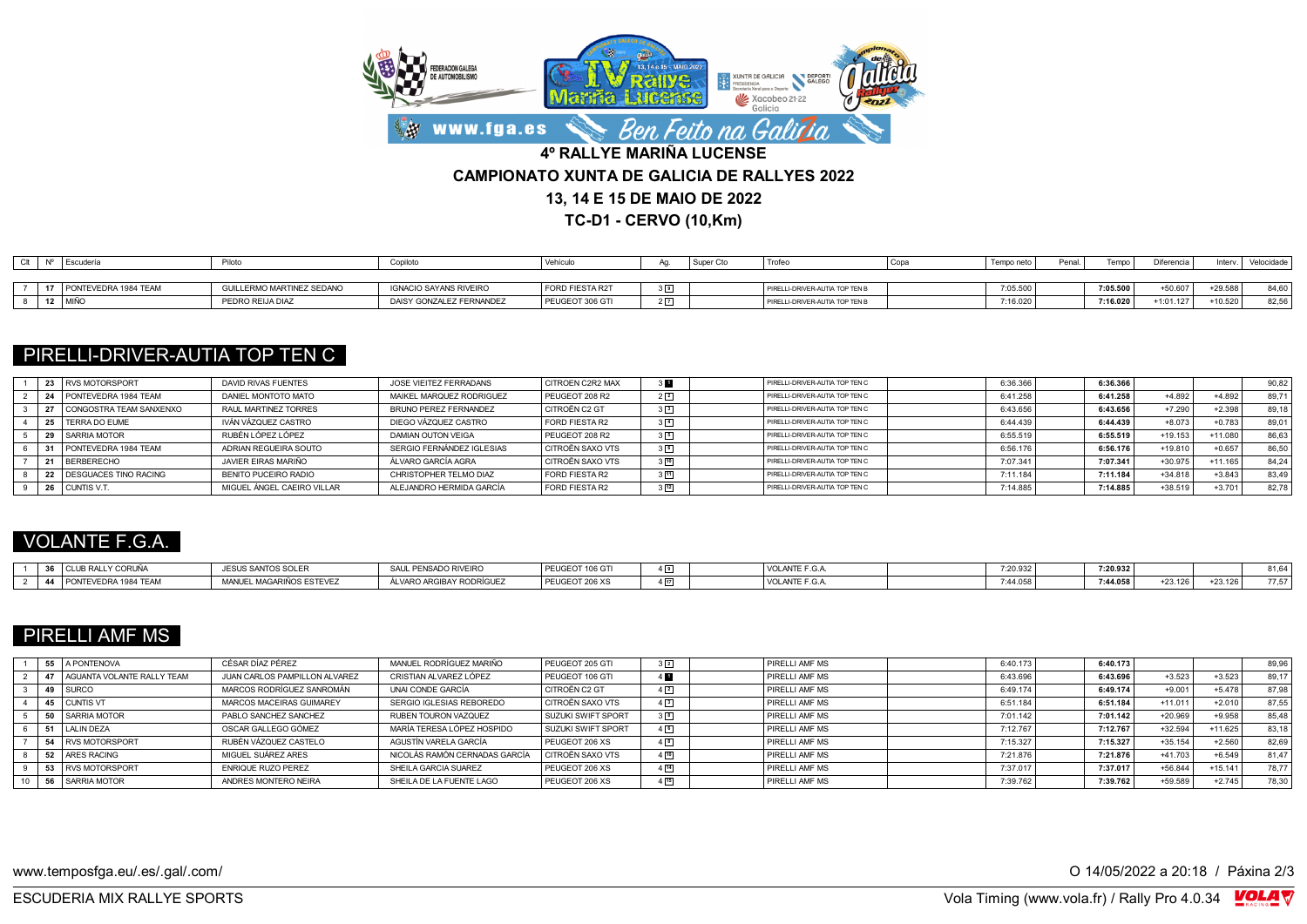

**TC-D1 - CERVO (10,Km)**

|  | Escudería            |                           | Copilot                       | Vehícu.         |                | ' Trofe                        | Copa | Temno ne | Penal | Temno    | <b>Diferencia</b> | Inten   | Velocidade |
|--|----------------------|---------------------------|-------------------------------|-----------------|----------------|--------------------------------|------|----------|-------|----------|-------------------|---------|------------|
|  |                      |                           |                               |                 |                |                                |      |          |       |          |                   |         |            |
|  | PONTEVEDRA 1984 TEAM | GUILLERMO MARTINEZ SEDANO | <b>IGNACIO SAYANS RIVEIRO</b> | FORD FIESTA R2T | 9 <sub>1</sub> | PIRELLI-DRIVER-AUTIA TOP TEN B |      | 7:05.500 |       | 7:05.500 | $+50.607$         | +29.588 | 84,60      |
|  | <b>IMIÑO</b>         | PEDRO REIJA DIAZ          | DAISY GONZALEZ FERNANDEZ      | PEUGEOT 306 GTI |                | PIRELLI-DRIVER-AUTIA TOP TEN B |      | 7:16.020 |       | 7:16.020 | $-1:01.127$       | 10.520  | 82,56      |

## PIRELLI-DRIVER-AUTIA TOP TEN C

| 23 | <b>RVS MOTORSPORT</b>     | DAVID RIVAS FUENTES        | JOSE VIEITEZ FERRADANS    | <b>CITROEN C2R2 MAX</b> | 3 H .          | PIRELLI-DRIVER-AUTIA TOP TEN C | 6:36.366 | 6:36.366 |           |           | 90,82 |
|----|---------------------------|----------------------------|---------------------------|-------------------------|----------------|--------------------------------|----------|----------|-----------|-----------|-------|
|    | PONTEVEDRA 1984 TEAM      | DANIEL MONTOTO MATO        | MAIKEL MARQUEZ RODRIGUEZ  | PEUGEOT 208 R2          | $2\sqrt{2}$    | PIRELLI-DRIVER-AUTIA TOP TEN C | 6:41.258 | 6:41.258 | $+4.892$  | +4.892    | 89,71 |
|    | I CONGOSTRA TEAM SANXENXO | RAUL MARTINEZ TORRES       | BRUNO PEREZ FERNANDEZ     | CITROËN C2 GT           |                | PIRELLI-DRIVER-AUTIA TOP TEN C | 6:43.656 | 6:43.656 | $+7.290$  | $+2.398$  | 89,18 |
|    | <b>I TERRA DO EUME</b>    | IVÁN VÁZQUEZ CASTRO        | DIEGO VÁZQUEZ CASTRO      | FORD FIESTA R2          | $3\sqrt{4}$    | PIRELLI-DRIVER-AUTIA TOP TEN C | 6:44.439 | 6:44.439 | $+8.073$  | $+0.783$  | 89,01 |
|    | SARRIA MOTOR              | RUBÉN LÓPEZ LÓPEZ          | DAMIAN OUTON VEIGA        | PEUGEOT 208 R2          | $3\sqrt{5}$    | PIRELLI-DRIVER-AUTIA TOP TEN C | 6:55.519 | 6:55.519 | $+19.153$ | +11.080   | 86,63 |
|    | PONTEVEDRA 1984 TEAM      | ADRIAN REGUEIRA SOUTO      | SERGIO FERNÁNDEZ IGLESIAS | CITROËN SAXO VTS        | 36             | PIRELLI-DRIVER-AUTIA TOP TEN C | 6:56.176 | 6:56.176 | $+19.810$ | $+0.657$  | 86.50 |
|    | <b>BERBERECHO</b>         | JAVIER EIRAS MARIÑO        | ÁLVARO GARCÍA AGRA        | <b>CITROËN SAXO VTS</b> | 3[10]          | PIRELLI-DRIVER-AUTIA TOP TEN C | 7:07.34  | 7:07.341 | +30.975   | $+11.165$ | 84.24 |
|    | DESGUACES TINO RACING     | BENITO PUCEIRO RADIO       | CHRISTOPHER TELMO DIAZ    | FORD FIESTA R2          | $3\sqrt{11}$   | PIRELLI-DRIVER-AUTIA TOP TEN C | 7:11.184 | 7:11.184 | $+34.818$ | $+3.843$  | 83,49 |
|    | I CUNTIS V.T.             | MIGUEL ÁNGEL CAEIRO VILLAR | ALEJANDRO HERMIDA GARCÍA  | FORD FIESTA R2          | $\frac{1}{12}$ | PIRELLI-DRIVER-AUTIA TOP TEN C | 7:14.885 | 7:14.885 | +38.519   | $+3.70$   | 82,78 |

# VOLANTE F.G.A.

| $\sim$ | LY CORUÑA<br>CLUB RAL       | <b>JESUS SANTOS SOLER</b>                       | PENSADO RIVEIRO<br><b>JAUL</b>                         | PEUGEOT 106 GTI              | VOLANTE F.G.A | 7:20.932   | 7:20.932 |           |              |       |
|--------|-----------------------------|-------------------------------------------------|--------------------------------------------------------|------------------------------|---------------|------------|----------|-----------|--------------|-------|
|        | LPONTEVEDRA<br>RA 1984 TFAM | <b>ARIÑOS ESTEVEZ</b><br>MANUEL MAL<br>71.AIVU. | <b>BAY PODPÍCHEZ</b><br>ALVARO ARGI'<br>JIBAY RUDRIGUF | OFOT 000 V<br>PEUGEOT 206 XS | VOLANTE F.G.A | $-44$ $05$ | 7:44.058 | $+23.126$ | $-23.12$ $F$ | 77.57 |

# PIRELLI AMF MS

|  | 55 A PONTENOVA                | CÉSAR DÍAZ PÉREZ              | MANUEL RODRÍGUEZ MARIÑO       | PEUGEOT 205 GTI    | $3\sqrt{2}$        | PIRELLI AMF MS        | 6:40.173 | 6:40.173 |           |           | 89,96 |
|--|-------------------------------|-------------------------------|-------------------------------|--------------------|--------------------|-----------------------|----------|----------|-----------|-----------|-------|
|  | 47 AGUANTA VOLANTE RALLY TEAM | JUAN CARLOS PAMPILLON ALVAREZ | CRISTIAN ALVAREZ LÓPEZ        | PEUGEOT 106 GTI    |                    | PIRELLI AMF MS        | 6:43.696 | 6:43.696 | $+3.523$  | $+3.523$  | 89.17 |
|  | 49 SURCO                      | MARCOS RODRÍGUEZ SANROMÁN     | UNALCONDE GARCÍA              | CITROËN C2 GT      | $4\sqrt{2}$        | <b>PIRELLI AME MS</b> | 6:49.174 | 6:49.174 | $+9.001$  | $+5.478$  | 87,98 |
|  | 45 CUNTIS VT                  | MARCOS MACEIRAS GUIMAREY      | SERGIO IGLESIAS REBOREDO      | CITROËN SAXO VTS   | $4\sqrt{3}$        | PIRELLI AME MS        | 6:51.18  | 6:51.184 | $+11.011$ | $+2.010$  | 87.55 |
|  | 50 SARRIA MOTOR               | PABLO SANCHEZ SANCHEZ         | RUBEN TOURON VAZQUEZ          | SUZUKI SWIFT SPORT | 3 <sup>[8]</sup>   | PIRELLI AMF MS        | 7:01.14  | 7:01.142 | $+20.969$ | $+9.958$  | 85.48 |
|  | 51   LALIN DEZA               | OSCAR GALLEGO GÓMEZ           | MARÍA TERESA LÓPEZ HOSPIDO    | SUZUKI SWIFT SPORT | $4\sqrt{6}$        | PIRELLI AMF MS        | 7:12.767 | 7:12.767 | $+32.594$ | $+11.625$ | 83,18 |
|  | 54 RVS MOTORSPORT             | RUBÉN VÁZQUEZ CASTELO         | AGUSTÍN VARELA GARCÍA         | PEUGEOT 206 XS     | $4^{8}$            | <b>PIRELLI AMF MS</b> | 7:15.327 | 7:15.327 | $+35.154$ | $+2.560$  | 82.69 |
|  | 52 ARES RACING                | MIGUEL SUÁREZ ARES            | NICOLÁS RAMÓN CERNADAS GARCÍA | CITROËN SAXO VTS   | $4\sqrt{10}$       | <b>PIRELLI AMF MS</b> | 7:21.876 | 7:21.876 | $+41.703$ | $+6.549$  | 81.47 |
|  | 53 RVS MOTORSPORT             | <b>ENRIQUE RUZO PEREZ</b>     | SHEILA GARCIA SUAREZ          | PEUGEOT 206 XS     | $4 \overline{)14}$ | PIRELLI AMF MS        | 7:37.017 | 7:37.017 | $+56.844$ | $+15.141$ | 78.77 |
|  | 56 SARRIA MOTOR               | ANDRES MONTERO NEIRA          | SHEILA DE LA FUENTE LAGO      | PEUGEOT 206 XS     | $4^{15}$           | <b>PIRELLI AMF MS</b> | 7:39.762 | 7:39.762 | +59.589   | $+2.745$  | 78.30 |

www.temposfga.eu/.es/.gal/.com/ **O 14/05/2022** a 20:18 / Páxina 2/3

VolaSoftControlPdf ESCUDERIA MIX RALLYE SPORTS Vola Timing (www.vola.fr) / Rally Pro 4.0.34